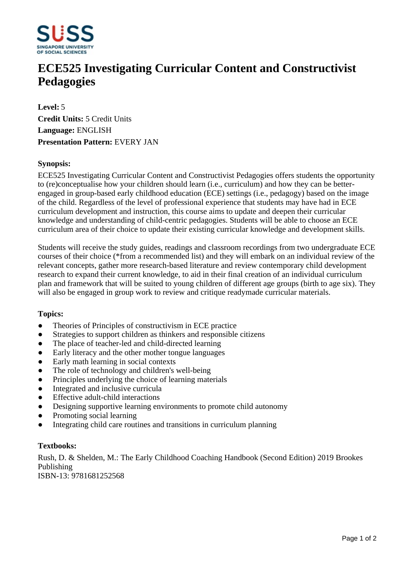

# **ECE525 Investigating Curricular Content and Constructivist Pedagogies**

**Level:** 5 **Credit Units:** 5 Credit Units **Language:** ENGLISH **Presentation Pattern:** EVERY JAN

## **Synopsis:**

ECE525 Investigating Curricular Content and Constructivist Pedagogies offers students the opportunity to (re)conceptualise how your children should learn (i.e., curriculum) and how they can be betterengaged in group-based early childhood education (ECE) settings (i.e., pedagogy) based on the image of the child. Regardless of the level of professional experience that students may have had in ECE curriculum development and instruction, this course aims to update and deepen their curricular knowledge and understanding of child-centric pedagogies. Students will be able to choose an ECE curriculum area of their choice to update their existing curricular knowledge and development skills.

Students will receive the study guides, readings and classroom recordings from two undergraduate ECE courses of their choice (\*from a recommended list) and they will embark on an individual review of the relevant concepts, gather more research-based literature and review contemporary child development research to expand their current knowledge, to aid in their final creation of an individual curriculum plan and framework that will be suited to young children of different age groups (birth to age six). They will also be engaged in group work to review and critique readymade curricular materials.

#### **Topics:**

- Theories of Principles of constructivism in ECE practice
- Strategies to support children as thinkers and responsible citizens
- The place of teacher-led and child-directed learning
- Early literacy and the other mother tongue languages
- Early math learning in social contexts
- The role of technology and children's well-being
- Principles underlying the choice of learning materials
- Integrated and inclusive curricula
- Effective adult-child interactions
- Designing supportive learning environments to promote child autonomy
- Promoting social learning
- Integrating child care routines and transitions in curriculum planning

#### **Textbooks:**

Rush, D. & Shelden, M.: The Early Childhood Coaching Handbook (Second Edition) 2019 Brookes Publishing

ISBN-13: 9781681252568